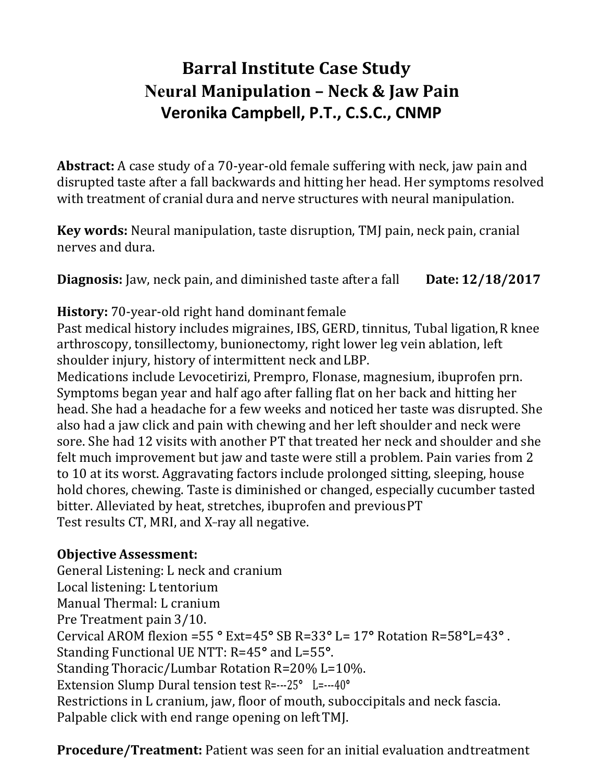# **Barral Institute Case Study Neural Manipulation – Neck & Jaw Pain Veronika Campbell, P.T., C.S.C., CNMP**

**Abstract:** A case study of a 70-year-old female suffering with neck, jaw pain and disrupted taste after a fall backwards and hitting her head. Her symptoms resolved with treatment of cranial dura and nerve structures with neural manipulation.

**Key words:** Neural manipulation, taste disruption, TMJ pain, neck pain, cranial nerves and dura.

**Diagnosis:** Jaw, neck pain, and diminished taste after a fall **Date: 12/18/2017**

### **History:** 70-year-old right hand dominant female

Past medical history includes migraines, IBS, GERD, tinnitus, Tubal ligation, R knee arthroscopy, tonsillectomy, bunionectomy, right lower leg vein ablation, left shoulder injury, history of intermittent neck and LBP.

Medications include Levocetirizi, Prempro, Flonase, magnesium, ibuprofen prn. Symptoms began year and half ago after falling flat on her back and hitting her head. She had a headache for a few weeks and noticed her taste was disrupted. She also had a jaw click and pain with chewing and her left shoulder and neck were sore. She had 12 visits with another PT that treated her neck and shoulder and she felt much improvement but jaw and taste were still a problem. Pain varies from 2 to 10 at its worst. Aggravating factors include prolonged sitting, sleeping, house hold chores, chewing. Taste is diminished or changed, especially cucumber tasted bitter. Alleviated by heat, stretches, ibuprofen and previous PT Test results CT, MRI, and X-ray all negative.

## **Objective Assessment:**

General Listening: L neck and cranium Local listening: L tentorium Manual Thermal: L cranium Pre Treatment pain 3/10. Cervical AROM flexion =55 **°** Ext=45**°** SB R=33**°** L= 17**°** Rotation R=58**°**L=43**°** . Standing Functional UE NTT: R=45**°** and L=55**°**. Standing Thoracic/Lumbar Rotation R=20% L=10%. Extension Slump Dural tension test R=---25**°** L=---40**°** Restrictions in L cranium, jaw, floor of mouth, suboccipitals and neck fascia. Palpable click with end range opening on left TMJ.

**Procedure/Treatment:** Patient was seen for an initial evaluation and treatment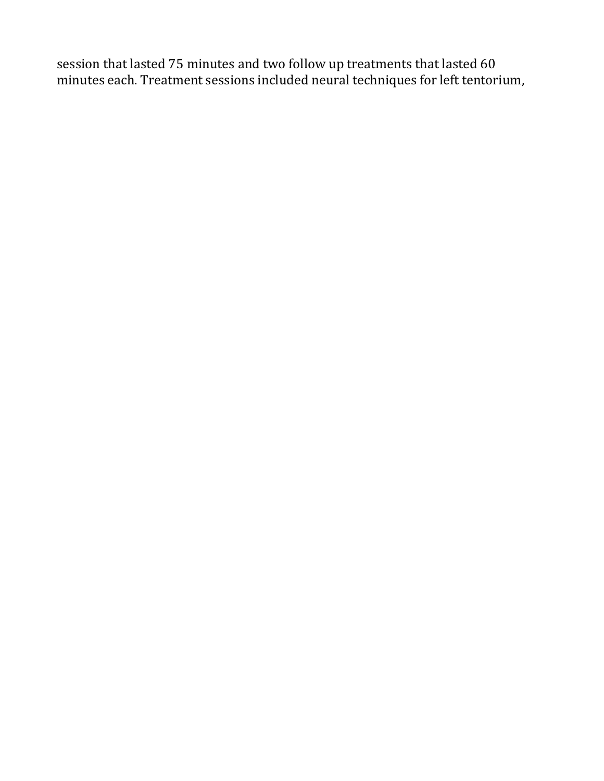session that lasted 75 minutes and two follow up treatments that lasted 60 minutes each. Treatment sessions included neural techniques for left tentorium,